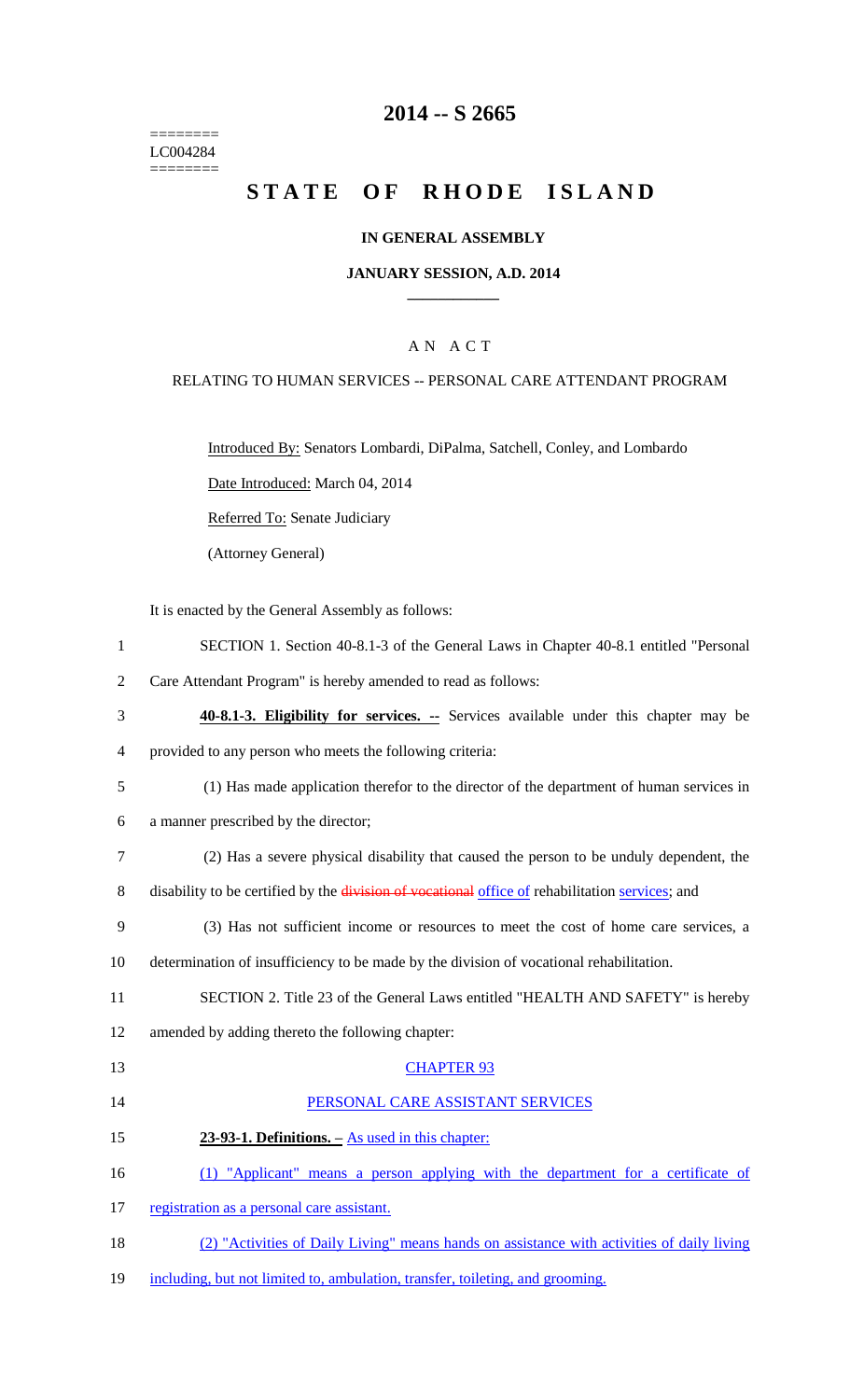======== LC004284 ========

# **2014 -- S 2665**

# **STATE OF RHODE ISLAND**

### **IN GENERAL ASSEMBLY**

### **JANUARY SESSION, A.D. 2014 \_\_\_\_\_\_\_\_\_\_\_\_**

### A N A C T

### RELATING TO HUMAN SERVICES -- PERSONAL CARE ATTENDANT PROGRAM

Introduced By: Senators Lombardi, DiPalma, Satchell, Conley, and Lombardo

Date Introduced: March 04, 2014

Referred To: Senate Judiciary

(Attorney General)

It is enacted by the General Assembly as follows:

1 SECTION 1. Section 40-8.1-3 of the General Laws in Chapter 40-8.1 entitled "Personal

2 Care Attendant Program" is hereby amended to read as follows:

- 3 **40-8.1-3. Eligibility for services. --** Services available under this chapter may be 4 provided to any person who meets the following criteria:
- 5 (1) Has made application therefor to the director of the department of human services in

6 a manner prescribed by the director;

- 7 (2) Has a severe physical disability that caused the person to be unduly dependent, the
- 8 disability to be certified by the division of vocational office of rehabilitation services; and
- 9 (3) Has not sufficient income or resources to meet the cost of home care services, a
- 10 determination of insufficiency to be made by the division of vocational rehabilitation.
- 11 SECTION 2. Title 23 of the General Laws entitled "HEALTH AND SAFETY" is hereby
- 12 amended by adding thereto the following chapter:

#### 13 CHAPTER 93

- 14 PERSONAL CARE ASSISTANT SERVICES
- 15 **23-93-1. Definitions. –** As used in this chapter:
- 16 (1) "Applicant" means a person applying with the department for a certificate of
- 17 registration as a personal care assistant.
- 18 (2) "Activities of Daily Living" means hands on assistance with activities of daily living
- 19 including, but not limited to, ambulation, transfer, toileting, and grooming.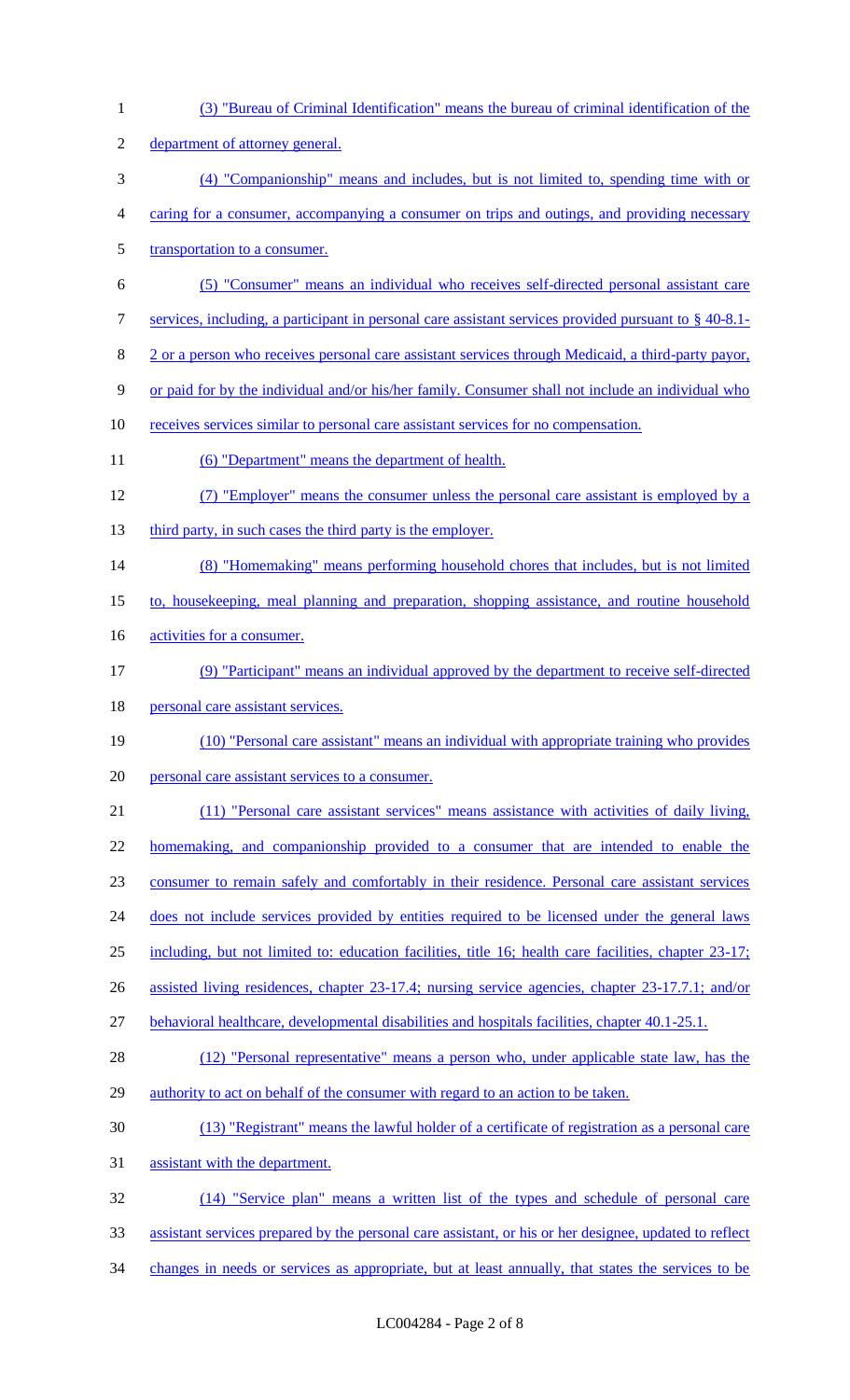(3) "Bureau of Criminal Identification" means the bureau of criminal identification of the department of attorney general. (4) "Companionship" means and includes, but is not limited to, spending time with or caring for a consumer, accompanying a consumer on trips and outings, and providing necessary 5 transportation to a consumer. (5) "Consumer" means an individual who receives self-directed personal assistant care services, including, a participant in personal care assistant services provided pursuant to § 40-8.1- 2 or a person who receives personal care assistant services through Medicaid, a third-party payor, or paid for by the individual and/or his/her family. Consumer shall not include an individual who receives services similar to personal care assistant services for no compensation. 11 (6) "Department" means the department of health. (7) "Employer" means the consumer unless the personal care assistant is employed by a 13 third party, in such cases the third party is the employer. (8) "Homemaking" means performing household chores that includes, but is not limited to, housekeeping, meal planning and preparation, shopping assistance, and routine household 16 activities for a consumer. (9) "Participant" means an individual approved by the department to receive self-directed 18 personal care assistant services. (10) "Personal care assistant" means an individual with appropriate training who provides personal care assistant services to a consumer. (11) "Personal care assistant services" means assistance with activities of daily living, homemaking, and companionship provided to a consumer that are intended to enable the consumer to remain safely and comfortably in their residence. Personal care assistant services 24 does not include services provided by entities required to be licensed under the general laws including, but not limited to: education facilities, title 16; health care facilities, chapter 23-17; assisted living residences, chapter 23-17.4; nursing service agencies, chapter 23-17.7.1; and/or behavioral healthcare, developmental disabilities and hospitals facilities, chapter 40.1-25.1. 28 (12) "Personal representative" means a person who, under applicable state law, has the authority to act on behalf of the consumer with regard to an action to be taken. (13) "Registrant" means the lawful holder of a certificate of registration as a personal care assistant with the department. (14) "Service plan" means a written list of the types and schedule of personal care assistant services prepared by the personal care assistant, or his or her designee, updated to reflect 34 changes in needs or services as appropriate, but at least annually, that states the services to be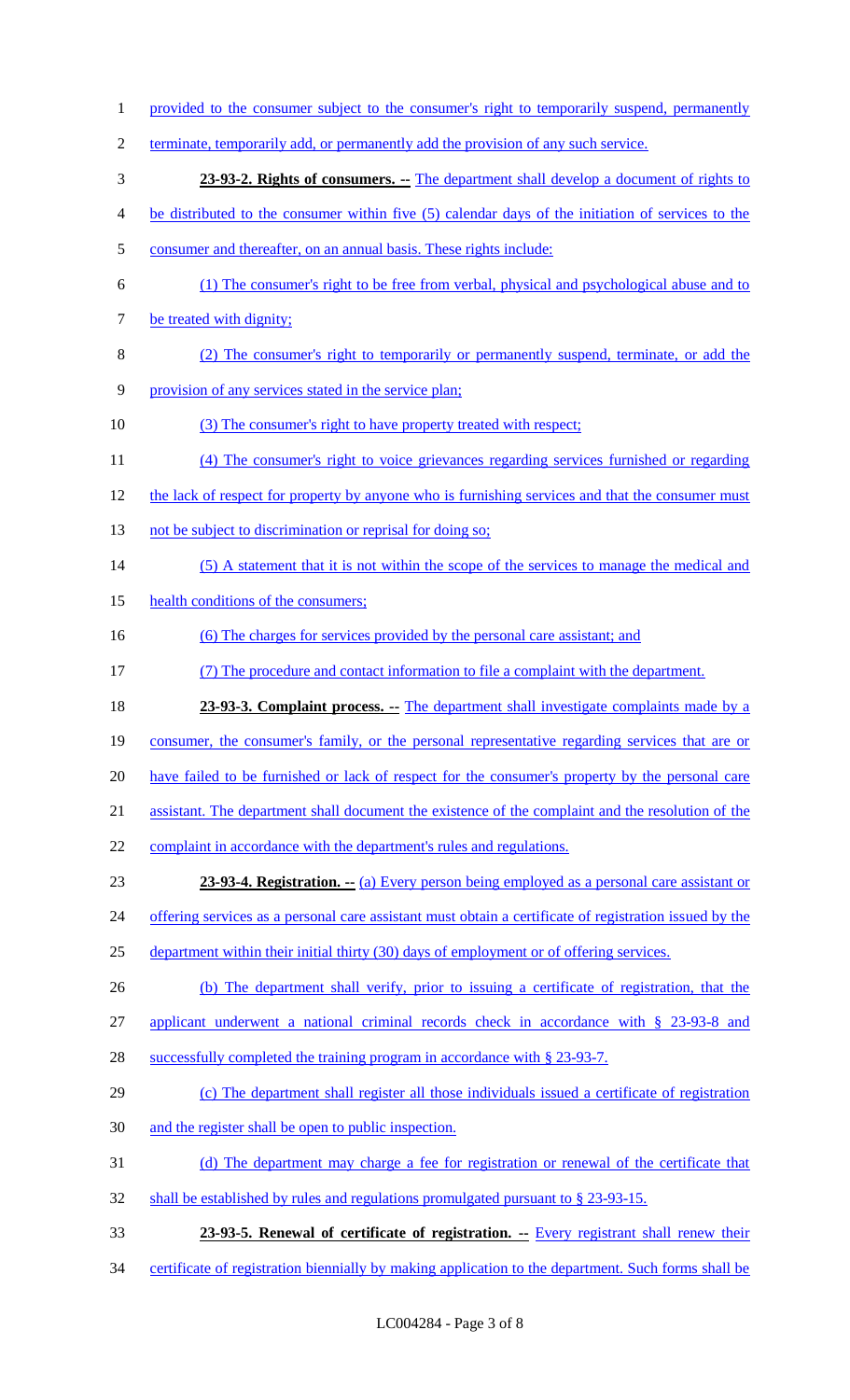- 1 provided to the consumer subject to the consumer's right to temporarily suspend, permanently
- terminate, temporarily add, or permanently add the provision of any such service.
- **23-93-2. Rights of consumers. --** The department shall develop a document of rights to
- be distributed to the consumer within five (5) calendar days of the initiation of services to the
- consumer and thereafter, on an annual basis. These rights include:
- (1) The consumer's right to be free from verbal, physical and psychological abuse and to 7 be treated with dignity;
- (2) The consumer's right to temporarily or permanently suspend, terminate, or add the
- provision of any services stated in the service plan;
- (3) The consumer's right to have property treated with respect;
- (4) The consumer's right to voice grievances regarding services furnished or regarding
- 12 the lack of respect for property by anyone who is furnishing services and that the consumer must
- 13 not be subject to discrimination or reprisal for doing so;
- 14 (5) A statement that it is not within the scope of the services to manage the medical and
- 15 health conditions of the consumers;
- (6) The charges for services provided by the personal care assistant; and
- (7) The procedure and contact information to file a complaint with the department.
- **23-93-3. Complaint process.** -- The department shall investigate complaints made by a
- consumer, the consumer's family, or the personal representative regarding services that are or
- 20 have failed to be furnished or lack of respect for the consumer's property by the personal care
- assistant. The department shall document the existence of the complaint and the resolution of the
- 22 complaint in accordance with the department's rules and regulations.
- **23-93-4. Registration.** -- (a) Every person being employed as a personal care assistant or
- 24 offering services as a personal care assistant must obtain a certificate of registration issued by the
- department within their initial thirty (30) days of employment or of offering services.
- (b) The department shall verify, prior to issuing a certificate of registration, that the
- applicant underwent a national criminal records check in accordance with § 23-93-8 and
- 28 successfully completed the training program in accordance with § 23-93-7.
- (c) The department shall register all those individuals issued a certificate of registration
- and the register shall be open to public inspection.
- (d) The department may charge a fee for registration or renewal of the certificate that
- shall be established by rules and regulations promulgated pursuant to § 23-93-15.
- **23-93-5. Renewal of certificate of registration. --** Every registrant shall renew their
- 34 certificate of registration biennially by making application to the department. Such forms shall be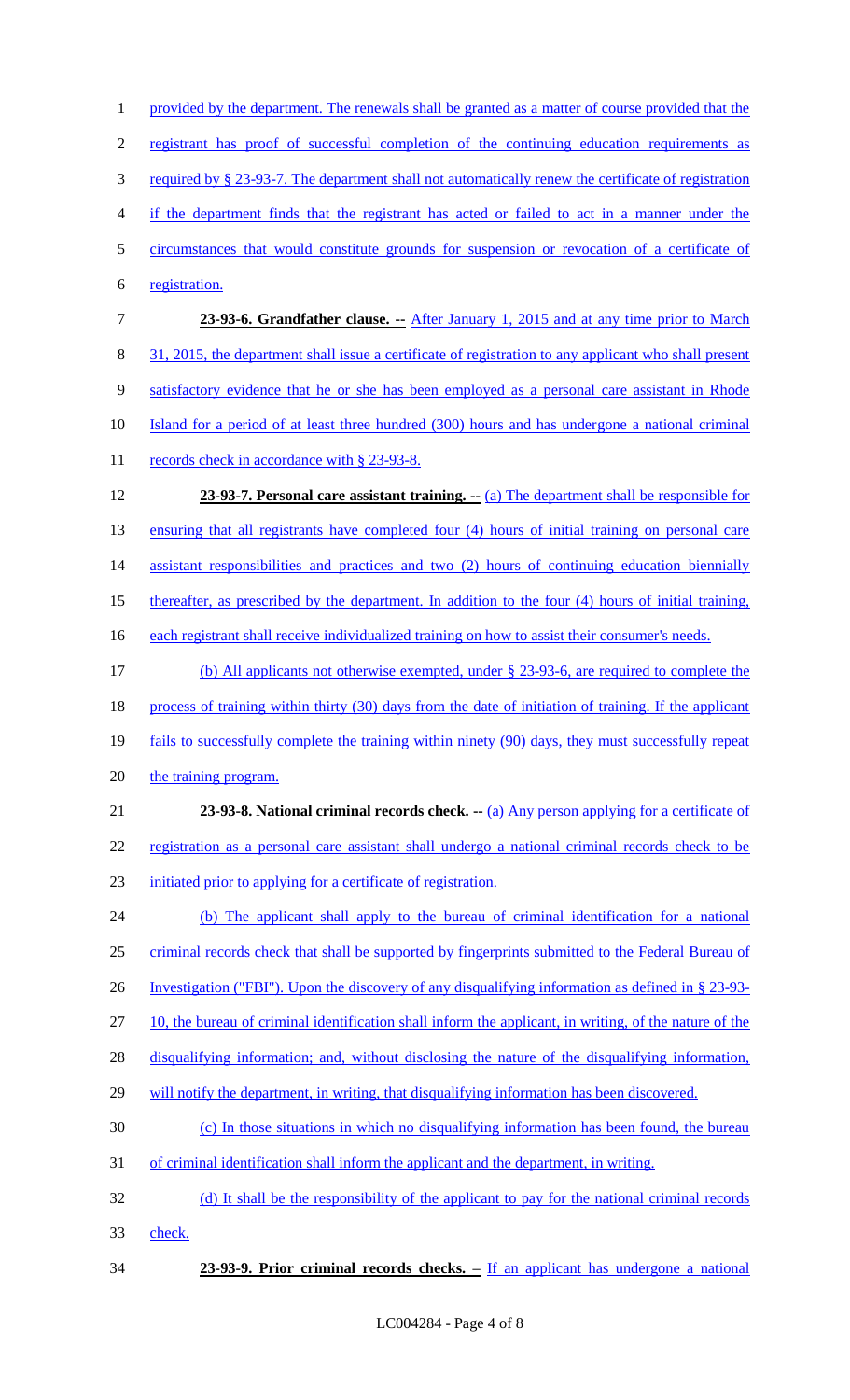1 provided by the department. The renewals shall be granted as a matter of course provided that the registrant has proof of successful completion of the continuing education requirements as required by § 23-93-7. The department shall not automatically renew the certificate of registration if the department finds that the registrant has acted or failed to act in a manner under the circumstances that would constitute grounds for suspension or revocation of a certificate of registration. **23-93-6. Grandfather clause. --** After January 1, 2015 and at any time prior to March 31, 2015, the department shall issue a certificate of registration to any applicant who shall present satisfactory evidence that he or she has been employed as a personal care assistant in Rhode Island for a period of at least three hundred (300) hours and has undergone a national criminal 11 records check in accordance with § 23-93-8. **23-93-7. Personal care assistant training. --** (a) The department shall be responsible for ensuring that all registrants have completed four (4) hours of initial training on personal care 14 assistant responsibilities and practices and two (2) hours of continuing education biennially thereafter, as prescribed by the department. In addition to the four (4) hours of initial training, 16 each registrant shall receive individualized training on how to assist their consumer's needs. (b) All applicants not otherwise exempted, under § 23-93-6, are required to complete the 18 process of training within thirty (30) days from the date of initiation of training. If the applicant fails to successfully complete the training within ninety (90) days, they must successfully repeat 20 the training program. **23-93-8. National criminal records check.** -- (a) Any person applying for a certificate of registration as a personal care assistant shall undergo a national criminal records check to be initiated prior to applying for a certificate of registration. (b) The applicant shall apply to the bureau of criminal identification for a national 25 criminal records check that shall be supported by fingerprints submitted to the Federal Bureau of Investigation ("FBI"). Upon the discovery of any disqualifying information as defined in § 23-93- 10, the bureau of criminal identification shall inform the applicant, in writing, of the nature of the disqualifying information; and, without disclosing the nature of the disqualifying information, 29 will notify the department, in writing, that disqualifying information has been discovered. (c) In those situations in which no disqualifying information has been found, the bureau of criminal identification shall inform the applicant and the department, in writing. (d) It shall be the responsibility of the applicant to pay for the national criminal records check. **23-93-9. Prior criminal records checks. –** If an applicant has undergone a national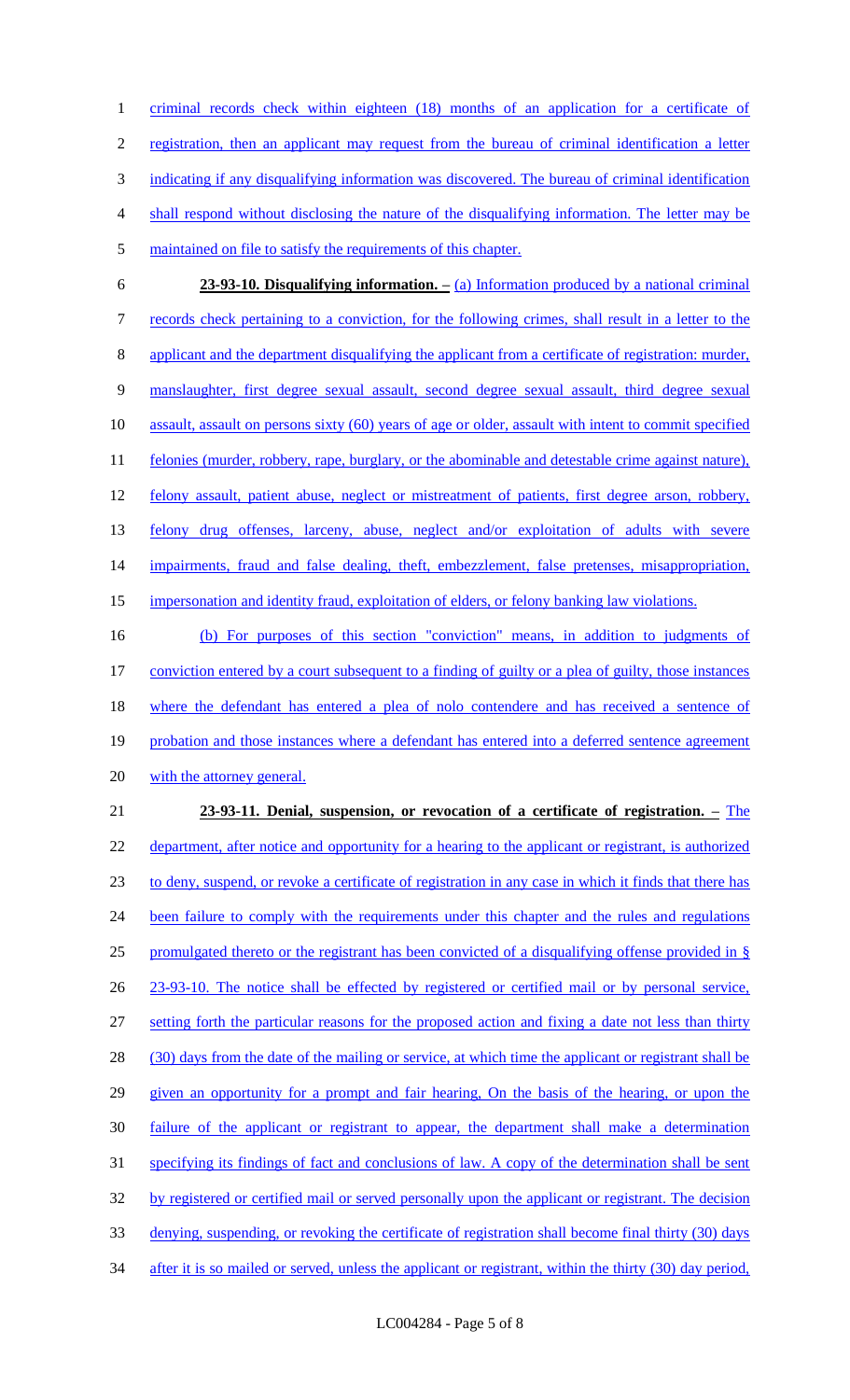criminal records check within eighteen (18) months of an application for a certificate of registration, then an applicant may request from the bureau of criminal identification a letter indicating if any disqualifying information was discovered. The bureau of criminal identification shall respond without disclosing the nature of the disqualifying information. The letter may be maintained on file to satisfy the requirements of this chapter.

 **23-93-10. Disqualifying information. –** (a) Information produced by a national criminal records check pertaining to a conviction, for the following crimes, shall result in a letter to the applicant and the department disqualifying the applicant from a certificate of registration: murder, manslaughter, first degree sexual assault, second degree sexual assault, third degree sexual assault, assault on persons sixty (60) years of age or older, assault with intent to commit specified 11 felonies (murder, robbery, rape, burglary, or the abominable and detestable crime against nature), 12 felony assault, patient abuse, neglect or mistreatment of patients, first degree arson, robbery, felony drug offenses, larceny, abuse, neglect and/or exploitation of adults with severe 14 impairments, fraud and false dealing, theft, embezzlement, false pretenses, misappropriation, impersonation and identity fraud, exploitation of elders, or felony banking law violations.

 (b) For purposes of this section "conviction" means, in addition to judgments of conviction entered by a court subsequent to a finding of guilty or a plea of guilty, those instances 18 where the defendant has entered a plea of nolo contendere and has received a sentence of 19 probation and those instances where a defendant has entered into a deferred sentence agreement 20 with the attorney general.

# **23-93-11. Denial, suspension, or revocation of a certificate of registration. –** The 22 department, after notice and opportunity for a hearing to the applicant or registrant, is authorized to deny, suspend, or revoke a certificate of registration in any case in which it finds that there has 24 been failure to comply with the requirements under this chapter and the rules and regulations promulgated thereto or the registrant has been convicted of a disqualifying offense provided in § 23-93-10. The notice shall be effected by registered or certified mail or by personal service, setting forth the particular reasons for the proposed action and fixing a date not less than thirty 28 (30) days from the date of the mailing or service, at which time the applicant or registrant shall be given an opportunity for a prompt and fair hearing, On the basis of the hearing, or upon the failure of the applicant or registrant to appear, the department shall make a determination 31 specifying its findings of fact and conclusions of law. A copy of the determination shall be sent 32 by registered or certified mail or served personally upon the applicant or registrant. The decision denying, suspending, or revoking the certificate of registration shall become final thirty (30) days 34 after it is so mailed or served, unless the applicant or registrant, within the thirty (30) day period,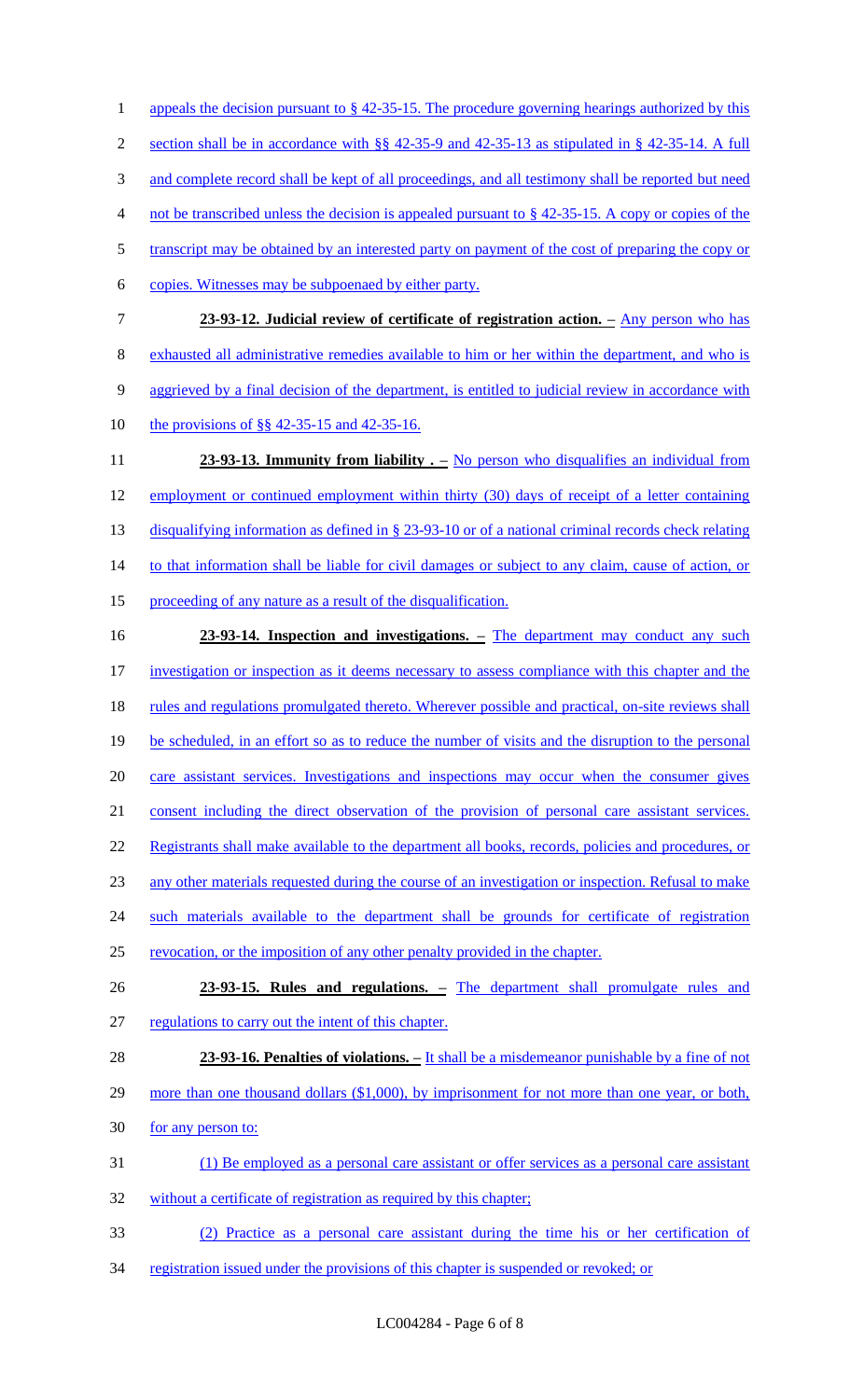1 appeals the decision pursuant to § 42-35-15. The procedure governing hearings authorized by this section shall be in accordance with §§ 42-35-9 and 42-35-13 as stipulated in § 42-35-14. A full 3 and complete record shall be kept of all proceedings, and all testimony shall be reported but need not be transcribed unless the decision is appealed pursuant to § 42-35-15. A copy or copies of the 5 transcript may be obtained by an interested party on payment of the cost of preparing the copy or copies. Witnesses may be subpoenaed by either party. **23-93-12. Judicial review of certificate of registration action. –** Any person who has exhausted all administrative remedies available to him or her within the department, and who is 9 aggrieved by a final decision of the department, is entitled to judicial review in accordance with the provisions of §§ 42-35-15 and 42-35-16. **23-93-13. Immunity from liability .** – No person who disqualifies an individual from employment or continued employment within thirty (30) days of receipt of a letter containing 13 disqualifying information as defined in § 23-93-10 or of a national criminal records check relating 14 to that information shall be liable for civil damages or subject to any claim, cause of action, or proceeding of any nature as a result of the disqualification. **23-93-14. Inspection and investigations. –** The department may conduct any such investigation or inspection as it deems necessary to assess compliance with this chapter and the 18 rules and regulations promulgated thereto. Wherever possible and practical, on-site reviews shall be scheduled, in an effort so as to reduce the number of visits and the disruption to the personal care assistant services. Investigations and inspections may occur when the consumer gives consent including the direct observation of the provision of personal care assistant services. 22 Registrants shall make available to the department all books, records, policies and procedures, or any other materials requested during the course of an investigation or inspection. Refusal to make 24 such materials available to the department shall be grounds for certificate of registration revocation, or the imposition of any other penalty provided in the chapter. **23-93-15. Rules and regulations. –** The department shall promulgate rules and regulations to carry out the intent of this chapter. **23-93-16. Penalties of violations. –** It shall be a misdemeanor punishable by a fine of not 29 more than one thousand dollars (\$1,000), by imprisonment for not more than one year, or both, 30 for any person to: (1) Be employed as a personal care assistant or offer services as a personal care assistant 32 without a certificate of registration as required by this chapter; (2) Practice as a personal care assistant during the time his or her certification of 34 registration issued under the provisions of this chapter is suspended or revoked; or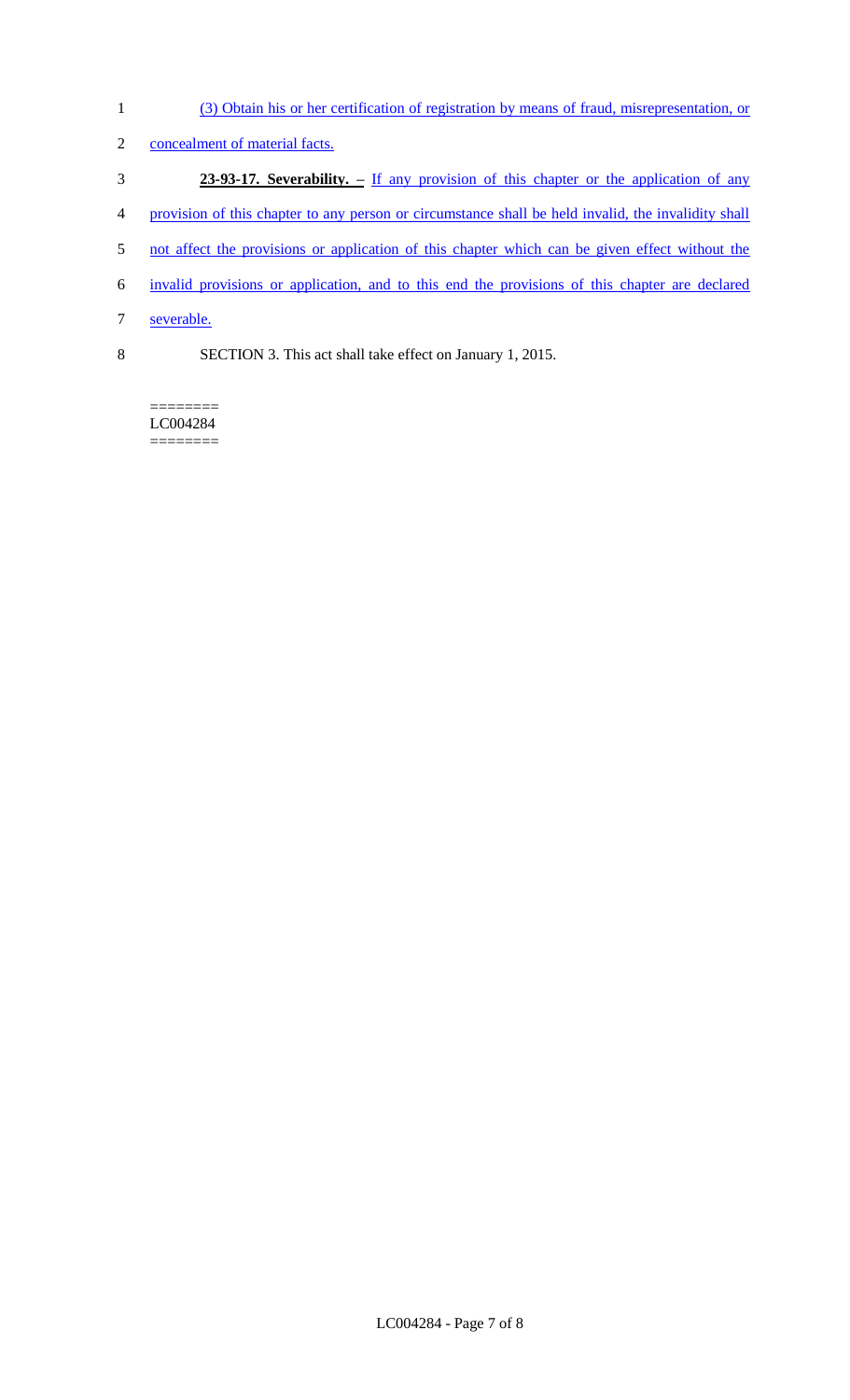(3) Obtain his or her certification of registration by means of fraud, misrepresentation, or 2 concealment of material facts. **23-93-17. Severability. –** If any provision of this chapter or the application of any 4 provision of this chapter to any person or circumstance shall be held invalid, the invalidity shall 5 not affect the provisions or application of this chapter which can be given effect without the invalid provisions or application, and to this end the provisions of this chapter are declared severable. SECTION 3. This act shall take effect on January 1, 2015.

======== LC004284

========